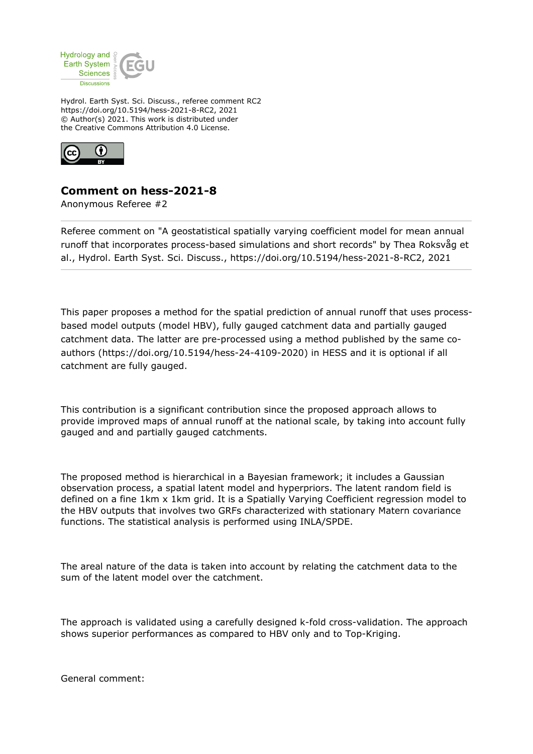

Hydrol. Earth Syst. Sci. Discuss., referee comment RC2 https://doi.org/10.5194/hess-2021-8-RC2, 2021 © Author(s) 2021. This work is distributed under the Creative Commons Attribution 4.0 License.



## **Comment on hess-2021-8**

Anonymous Referee #2

Referee comment on "A geostatistical spatially varying coefficient model for mean annual runoff that incorporates process-based simulations and short records" by Thea Roksvåg et al., Hydrol. Earth Syst. Sci. Discuss., https://doi.org/10.5194/hess-2021-8-RC2, 2021

This paper proposes a method for the spatial prediction of annual runoff that uses processbased model outputs (model HBV), fully gauged catchment data and partially gauged catchment data. The latter are pre-processed using a method published by the same coauthors (https://doi.org/10.5194/hess-24-4109-2020) in HESS and it is optional if all catchment are fully gauged.

This contribution is a significant contribution since the proposed approach allows to provide improved maps of annual runoff at the national scale, by taking into account fully gauged and and partially gauged catchments.

The proposed method is hierarchical in a Bayesian framework; it includes a Gaussian observation process, a spatial latent model and hyperpriors. The latent random field is defined on a fine 1km x 1km grid. It is a Spatially Varying Coefficient regression model to the HBV outputs that involves two GRFs characterized with stationary Matern covariance functions. The statistical analysis is performed using INLA/SPDE.

The areal nature of the data is taken into account by relating the catchment data to the sum of the latent model over the catchment.

The approach is validated using a carefully designed k-fold cross-validation. The approach shows superior performances as compared to HBV only and to Top-Kriging.

General comment: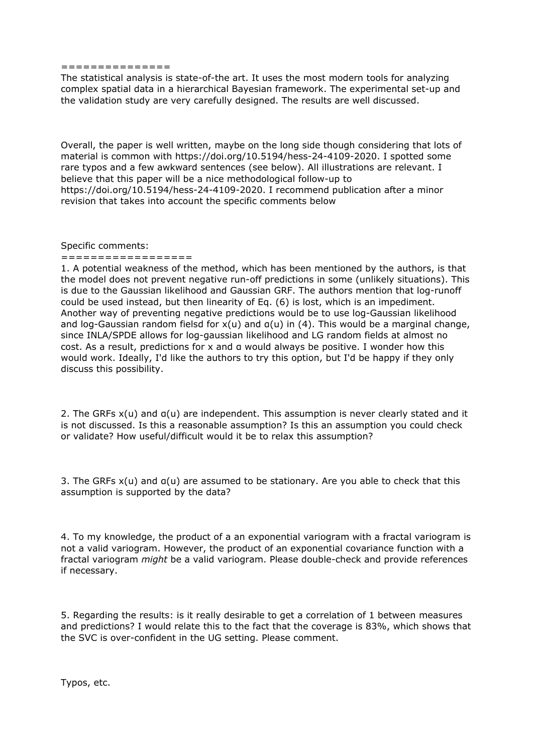## ===============

The statistical analysis is state-of-the art. It uses the most modern tools for analyzing complex spatial data in a hierarchical Bayesian framework. The experimental set-up and the validation study are very carefully designed. The results are well discussed.

Overall, the paper is well written, maybe on the long side though considering that lots of material is common with https://doi.org/10.5194/hess-24-4109-2020. I spotted some rare typos and a few awkward sentences (see below). All illustrations are relevant. I believe that this paper will be a nice methodological follow-up to https://doi.org/10.5194/hess-24-4109-2020. I recommend publication after a minor revision that takes into account the specific comments below

Specific comments: ==================

1. A potential weakness of the method, which has been mentioned by the authors, is that the model does not prevent negative run-off predictions in some (unlikely situations). This is due to the Gaussian likelihood and Gaussian GRF. The authors mention that log-runoff could be used instead, but then linearity of Eq. (6) is lost, which is an impediment. Another way of preventing negative predictions would be to use log-Gaussian likelihood and log-Gaussian random fielsd for  $x(u)$  and  $a(u)$  in (4). This would be a marginal change, since INLA/SPDE allows for log-gaussian likelihood and LG random fields at almost no cost. As a result, predictions for x and α would always be positive. I wonder how this would work. Ideally, I'd like the authors to try this option, but I'd be happy if they only discuss this possibility.

2. The GRFs x(u) and α(u) are independent. This assumption is never clearly stated and it is not discussed. Is this a reasonable assumption? Is this an assumption you could check or validate? How useful/difficult would it be to relax this assumption?

3. The GRFs  $x(u)$  and  $a(u)$  are assumed to be stationary. Are you able to check that this assumption is supported by the data?

4. To my knowledge, the product of a an exponential variogram with a fractal variogram is not a valid variogram. However, the product of an exponential covariance function with a fractal variogram *might* be a valid variogram. Please double-check and provide references if necessary.

5. Regarding the results: is it really desirable to get a correlation of 1 between measures and predictions? I would relate this to the fact that the coverage is 83%, which shows that the SVC is over-confident in the UG setting. Please comment.

Typos, etc.